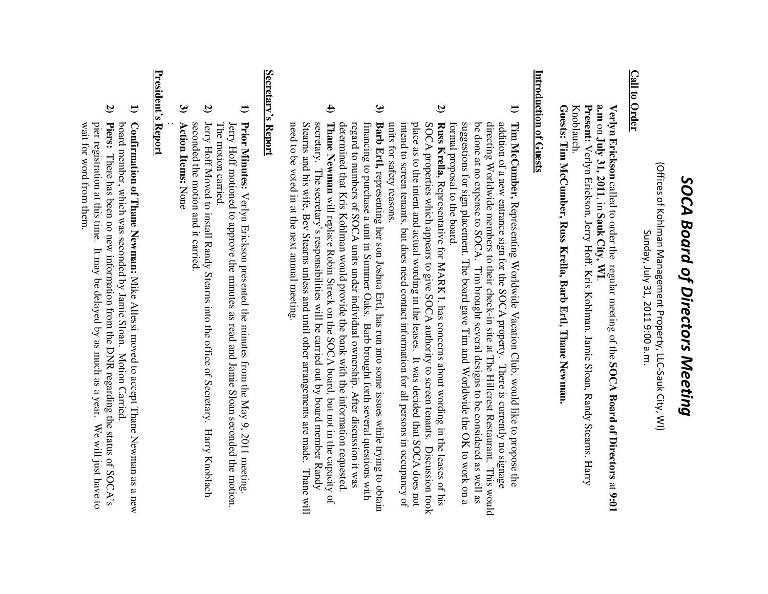# SOCA Board of Directors Meeting *SOCA Board of Directors Meeting*

(Offices of Kohlman Management Property, LLC-Sauk City, WI) (Offices of Kohlman Management Property, LLC-Sauk City, WI) Sunday, July 31, 2011 9:00 a.m. Sunday, July 31, 2011 9:00 a.m.

### **Call to Order Call to Order**

**Verlyn Erickson** called to order the regular meeting of the **SOCA Board of Directors** $\Xi$ **9:01 a.m** on **July 31, 2011**, in **Sauk City, WI**.

Present: Verlyn Erickson, Jerry Hoff, Kris Kohlman, Jamie Sloan, Randy Stearns, Harry Knoblauch. Knoblauch. **Present:** Verlyn Erickson, Jerry Hoff, Kris Kohlman, Jamie Sloan, Randy Stearns, Harry

Guests: Tim McCumber, Russ Krella, Barb Ertl, Thane Newman **Tim McCumber, Russ Krella, Barb Ertl, Thane Newman.**

# Introduction of Guests **Introduction of Guests**

- **1)** Tim McCumber, Representing Worldwide Vacation Club, would like to propose the formal proposal to the board. suggestions for sign placement. The board gave Tim and Worldwide the OK to work on a be done at no expense to SOCA. Tim brought several designs to be considered as well as directing Worldwide members to their check-in site at The Hillcrest Restaurant. This would addition of a new entrance sign for the SOCA property. There is currently no signage formal proposal to the board. suggestions for sign placement. The board gave Tim and Worldwide the OK to work on a be done at no expense to SOCA. Tim brought several designs to be considered as well as directing Worldwide members to their check-in site at The Hillcrest Restaurant. This would addition of a new entrance sign for the SOCA property. There is currently no signage **Tim McCumber,** Representing Worldwide Vacation Club, would like to propose the
- **2)** units for safety reasons. intend to screen tenants, but does need contact information for all persons in occupancy of place as to the intent and actual wording in the leases. It was decided that SOCA does not SOCA properties which appears to give SOCA authority to screen tenants. Discussion took Russ Krella, Representative for MARK I, has concerns about wording in the leases of his units for safety reasons. intend to screen tenants, but does need contact information for all persons in occupancy of place as to the intent and actual wording in the leases. It was decided that SOCA does not SOCA properties which appears to give SOCA authority to screen tenants. Discussion took **Russ Krella,** Representative for MARK I, has concerns about wording in the leases of his
- **3)** determined that Kris Kohlman would provide the bank with the information requested regard to numbers of SOCA units under individual ownership. After discussion it was financing to purchase a unit in Summer Oaks. Barb brought forth several questions with **Barb Ertl, representing her son Joshua Ertl, has run into some issues while trying to obtain** determined that Kris Kohlman would provide the bank with the information requested. regard to numbers of SOCA units under individual ownership. After discussion it was financing to purchase a unit in Summer Oaks. Barb brought forth several questions with **Barb Ertl,** representing her son Joshua Ertl, has run into some issues while trying to obtain
- **4)** Thane Newman will replace Robin Streck on the SOCA board, but not in the capacity of Stearns and his wife, Bev Stearns unless and until other arrangements are made. Thane will secretary. The secretary's responsibilities will be carried out by board member Randy need to be voted in at the next annual meeting. need to be voted in at the next annual meeting. Stearns and his wife, Bev Stearns unless and until other arrangements are made. Thane will secretary. The secretary's responsibilities will be carried out by board member Randy **Thane Newman** will replace Robin Streck on the SOCA board, but not in the capacity of

## Secretary's Report **Secretary's Report**

- **1)** Prior Minutes: Verlyn Erickson presented the minutes from the May 9, 2011 meeting. Jerry Hoff motioned to approve the minutes as read and Jamie Sloan seconded the motion. The motion carried. The motion carried. **Prior Minutes:** motioned to approve the minutes as read and Jamie Sloan seconded the motion. Verlyn Erickson presented the minutes from the May 9, 2011 meeting.
- **2)** Jerry Hoff Moved to install Randy Stearns into the office of Secretary. Harry Knoblach seconded the motion and it carried. seconded the motion and it carried. Jerry Hoff Moved to install Randy Stearns into the office of Secretary. Harry Knoblach
- **3) Action Items:Action Items:** None

#### **President's Report President's Report**  :

- **1)** board member, which was seconded by Jamie Sloan. Motion Carried. Confirmation of Thane Newman: Mike Allessi moved to accept Thane Newman as a new board member, which was seconded by Jamie Sloan. Motion Carried. **Confirmation of Thane Newman:** Mike Allessi moved to accept Thane Newman as a new
- **2) Piers:** There has been no new information from the DNR regarding the status of SOCA's pier registration at this time. It may be delayed by as much as a year. We will just have to wait for word from them. wait for word from them. pier registration at this time. It may be delayed by as much as a year. We will just have to There has been no new information from the DNR regarding the status of SOCA's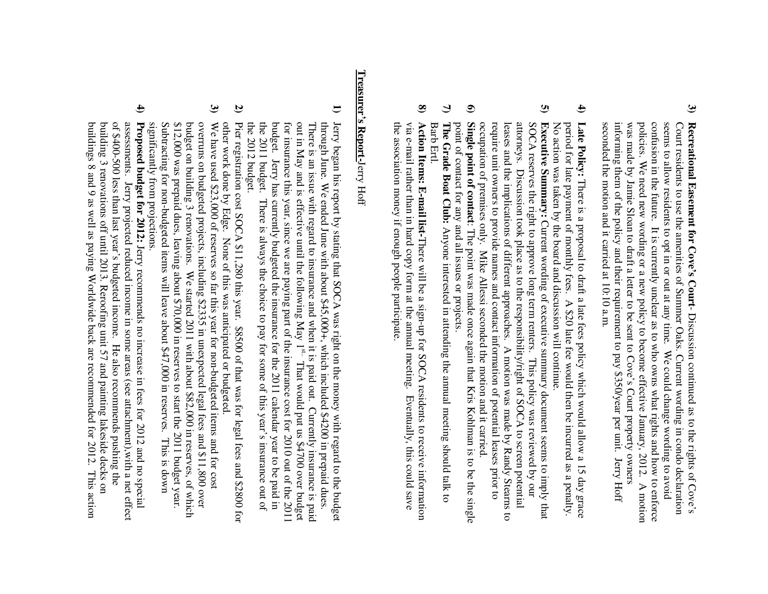- **3)** Recreational Easement for Cove's Court-Discussion continued as to the rights of Cove's seconded the motion and it carried at 10:10 a.m. informing them of the policy and their requirement to pay \$350/year per unit. Jerry Hoff was made by Jamie Sloan to draft a letter to be sent to Cove's Court property owners policies. We need new wording or a new policy to become effective January, 2012. A motion confusion in the future. It is currently unclear as to who owns what rights and how to enforce seems to allow residents to opt in or out at any time. We could change wording to avoid seconded the motion and it carried at 10:10 a.m. informing them of the policy and their requirement to pay \$350/year per unit. Jerry Hoff was made by Jamie Sloan to draft a letter to be sent to Cove's Court property owners policies. We need new wording or a new policy to become effective January, 2012. A motion confusion in the future. It is currently unclear as to who owns what rights and how to enforce seems to allow residents to opt in or out at any time. We could change wording to avoid Court residents to use the amenities of Summer Oaks. Current wording in condo declaration Court residents to use the amenities of Summer Oaks. Current wording in condo declaration **Recreational Easement for Cove's Court**- Discussion continued as to the rights of Cove's
- **4)** Late Policy: There is a proposal to draft a late fees policy which would allow a 15 day grace No action was taken by the board and discussion will continue. No action was taken by the board and discussion will continue. period for late payment of monthly fees. A \$20 late fee would then be incurred as a penalty. period for late payment of monthly fees. A \$20 late fee would then be incurred as a penalty. **Late Policy:** is a proposal to draft a late fees policy which would allow a 15 day grace
- **5)** occupation of premises only. Mike Allessi seconded the motion and it carried. require unit owners to provide names and contact information of potential leases prior to leases and the implications of different approaches. A motion was made by Randy Stearns to attorneys. Discussion took place as to the responsibility/right of SOCA to screen potential SOCA reserves the right to approve long term renters. This policy was reviewed by our **Executive Summary:** Current wording of executive summary document seems to imply that occupation of premises only. Mike Allessi seconded the motion and it carried. require unit owners to provide names and contact information of potential leases prior to leases and the implications of different approaches. A motion was made by Randy Stearns to attorneys. Discussion took place as to the responsibility/right of SOCA to screen potential SOCA reserves the right to approve long term renters. This policy was reviewed by our **Executive Summary:** Current wording of executive summary document seems to imply that
- **6)** point of contact for any and all issues or projects. Single point of contact: The point was made once again that Kris Kohlman is to be the single point of contact for any and all issues or projects. **Single point of contact**: The point was made once again that Kris Kohlman is to be the single
- **7)** The Grade Boat Club: Anyone interested in attending the annual meeting should talk to Barb Ertl. Barb Ertl. **The Grade Boat Club:** Anyone interested in attending the annual meeting should talk to
- **8)** the association money if enough people participate. via e-mail rather than in hard copy form at the annual meeting. Eventually, this could save Action Items: E-mail list-There will be a sign-up for SOCA residents to receive information the association money if enough people participate. via e-mail rather than in hard copy form at the annual meeting. Eventually, this could save **Action Items: E-mail list-**There will be a sign-up for SOCA residents to receive information

# **Treasurer's Report-**Treasurer's Report-Jerry Hoff

- **1)** Jerry began his report by stating that SOCA was right on the money with regard to the budget the 2012 budget. the 2011 budget. There is always the choice to pay for some of this year's insurance out of budget. Jerry has currently budgeted the insurance for the 2011 calendar year to be paid in for insurance this year, since we are paying part of the insurance cost for 2010 out of the 2011 There is an issue with regard to insurance and when it is paid out. Currently insurance is paid out in May and is effective until the following May  $1^{s_{tr}}$ . That would put us \$4700 over budget out in May and is effective through June. We ended June with about \$45,000+, which included \$4200 in prepaid dues. the 2012 budget. the 2011 budget. There is always the choice to pay for some of this year's insurance out of budget. Jerry has currently budgeted the insurance for the 2011 calendar year to be paid in for insurance this year, since we are paying part of the insurance cost for 2010 out of the 2011 out in May and is effective until the following May 1There is an issue with regard to insurance and when it is paid out. Currently insurance is paid through June. We ended June with about \$45,000+, which included \$4200 in prepaid dues. Jerry began his report by stating that SOCA was right on the money with regard to the budget That would put us \$4700 over budget
- **2)** Pier registration cost SOCA \$11,280 this year. \$8500 of that was for legal fees and \$2800 for other work done by Edge. None of this was anticipated or budgeted. other work done by Edge. None of this was anticipated or budgeted. Pier registration cost SOCA \$11,280 this year. \$8500 of that was for legal fees and \$2800 for
- **3)** significantly from projections. Subtracting for non-budgeted items will leave about \$47,000 in reserves. \$12,000 was prepaid dues, leaving about \$70,000 in reserves to start the 2011 budget year. budget on building 3 renovations. We started 2011 with about \$82,000 in reserves, of which overruns on budgeted projects, including \$2335 in unexpected legal fees and \$11,800 over We have used \$23,000 of reserves so far this year for non-budgeted items and for cost significantly from projections. Subtracting for non-pure  $(1.000 \text{ m})^2$  in reserves about  $(2.17 \text{ m})^2$  is down to the serves in Fig. is down.  $512,000$  was prepaid dues, leaving about  $570,000$  in reserves to start the 2011 budget year. budget on building 3 renovations. We started 2011 with about \$82,000 in reserves, of which overruns on budgeted projects, including \$2335 in unexpected legal fees and \$11,800 over We have used \$23,000 of reserves so far this year for non-budgeted items and for cost This is down
- **4)** buildings 8 and 9 as well as paying Worldwide back are recommended for 2012. This action building 3 renovations off until 2013. Reroofing unit 57 and painting lakeside decks on of \$400-500 less than last year's budgeted income. He also recommends pushing the assessments. Jerry projected reduced income in some areas (see attachment), with a net effect **Proposed budget for 2012:** Jerry recommends no increase in fees for 2012 and no special buildings 8 and 9 as well as paying Worldwide back are recommended for 2012. This action building 3 renovations off until 2013. Reroofing unit 57 and painting lakeside decks on of \$400-500 less than last year's budgeted income. He also recommends pushing the assessments. Jerry projected reduced income in some areas (see attachment),with a net effect **Proposed budget for 2012:** Jerry recommends no increase in fees for 2012 and no special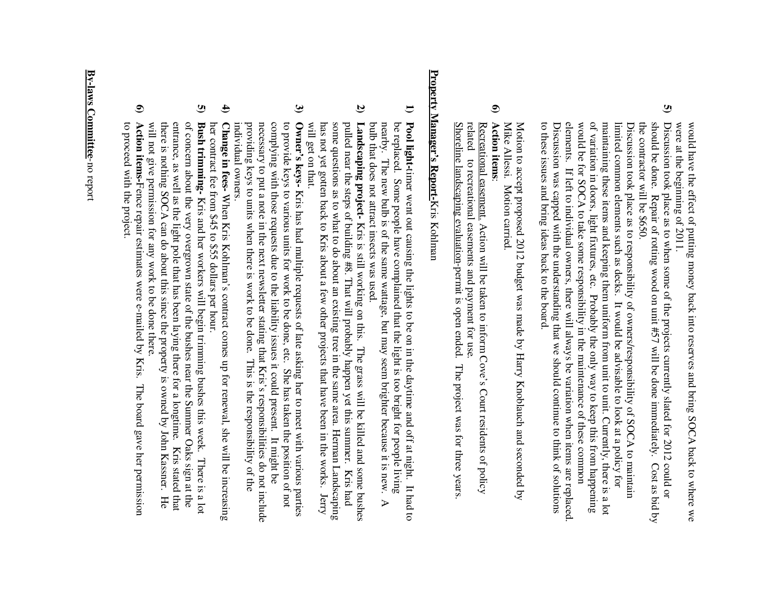were at the beginning of 2011. would have the effect of putting money back into reserves and bring SOCA back to where we were at the beginning of 2011. would have the effect of putting money back into reserves and bring SOCA back to where we

**5)** the contractor will be \$650. should be done. Discussion took place as to when some of the projects currently slated for 2012 could or the contractor will be  $6000$ . should be done. Repair of rotation  $\frac{1}{2}$  will be done immediately. Cost as bid by Discussion took place as to when some of the projects currently slated for 2012 could or Repair of rotting wood on unit #57 will be done immediately. Cost as bid by

to these issues and bring ideas back to the board. Discussion was capped with the understanding that we should continue to think of solutions elements. If left to individual owners, there will always be variation when items are replaced. would be for SOCA to take some responsibility in the maintenance of these common of variation in doors, light fixtures, etc. Probably the only way to keep this from happening maintaining these items and keeping them uniform from unit to unit. Currently, there is a lot limited common elements such as decks. It would be advisable to look at a policy for Discussion took place as to responsibility of owners/responsibility of SOCA to maintain to these issues and bring ideas back to the board. Discussion was capped with the understanding that we should continue to think of solutions elements. If left to individual owners, there will always be variation when items are replaced. would be for SOCA to  $K_{\text{max}}$  of  $K_{\text{max}}$  in the maintenance of these common of variation in doors, light fixtures, etc. Probably the only way to keep this from happening maintaining these items and keeping them uniform from unit to unit. Currently, there is a lot limited common elements such as decks. It would be advisable to look at a policy for Discussion took place as to responsibility of owners/responsib ility of SOCA to maintain

Mike Allessi. Motion carried Motion to accept proposed 2012 budget was made by Harry Knoblauch and seconded by Mike Allessi. Motion carried. Motion to accept proposed 2012 budget was made by Harry Knoblauc h and seconded by

#### **6) Action itemsAction items:**

Shoreline landscaping evaluation-permit is open ended. The project was for three years Shoreline landscaping evaluation-permit is open ended. The related related to recreational easements and payment for use. Recreational easement. Action will be taken to inform Cove's Court residents of policy Recreational easement. Action will be taken to inform Cove's Court residents of policy to recreational easements and payment for use. project was for three years.

# Property Manager's Report-Kris Kohlman **Property Manager's Report-**Kris Kohlman

- **1)** Pool light-timer went out causing the lights to be on in the daytime and off at night. It had to bulb that does not attract insects was used. nearby. The new bulb is of the same wattage, but may seem brighter because it is new. be replaced. Some people have complained that the light is too bright for people living bulb that does not attract insects was used. nearby. The new bulb is of the same wattage, but may seem brighter because it is new. A be replaced. Some people have complained that the light is too bright for people living timer went out causing the lights to be on in the daytime and off at night. It had to  $\triangleright$
- **2)** will get on that. has not yet gotten back to Kris about a few other projects that have been in the works. Jerry some questions as to what to do about an existing tree in the same area. Herman Landscaping pulled near the steps of building #8. That will probably happen yet this summer. Landscaping project- Kris is still working on this. The grass will be killed and some bushes will get on that. has not yet gotten back to Kris about a few other projects that have been in the works. Jerry some questions as to what to do about an existing tree in the same area. Herman Landscaping pulled near the steps of building #8. That will probably happen yet this summer. Kris had **Landscaping project-** Kris is still working on this. The grass will be killed and some bushes Kris had
- **3)** Owner's keys- Kris has had multiple requests of late asking her to meet with various parties individual owners. providing keys to units when there is work to be done. This is the responsibility of the necessary to put a note in the next newsletter stating that Kris's responsibilities do not include complying with those requests due to the liability issues it could present. It might be to provide keys to various units for work to be done, etc. She has taken the position of not individual owners. providing keys to units when there is work to be done. This is the responsibility of the necessary to put a note in the next newsletter stating that Kris's responsibilities do not include complying with those requests due to the liability issues it could present. It might be to provide keys to various units for work to be done, etc. She has taken the position of not **Owner's keys-** Kris has had multiple requests of late asking her to meet with various parties
- **4)** her contract fee from \$45 to \$55 dollars per hour. Change in fees-When Kris Kohlman's contract comes up for renewal, she will be increasing her contract fee from \$45 to \$55 dollars per hour. **Change in fees-** When Kris Kohlman's contract comes up for renewal, she will be increasing
- **5)** will not give permission for any work to be done there. there is nothing SOCA can do about this since the property is owned by John Kassner. He entrance, as well as the light pole that has been laying there for a longtime. Kris stated that of concern about the very overgrown state of the bushes near the Summer Oaks sign at the **Bush trimming-** Kris and her workers will begin trimming bushes this week. There is a lot will not give permission for any work to be done there. there is nothing SOCA can do about this since the property is owned by John Kassner. He entrance, as well as the light pole that has been laying there for a longtime. Kris stated that of concern about the very overgrown state of the bushes near the Summer Oaks sign at the **Bush trimming-** Kris and her workers will begin trimming bushes this week. There is a lot
- **6)** to proceed with the project. Action items-Fence repair estimates were e-mailed by Kris. The board gave her permission to proceed with the project. **Action items-**Fence repair estimates were e-mailed by Kris. The board gave her permission

## By-laws Committee-no report **By-laws Committee**-no report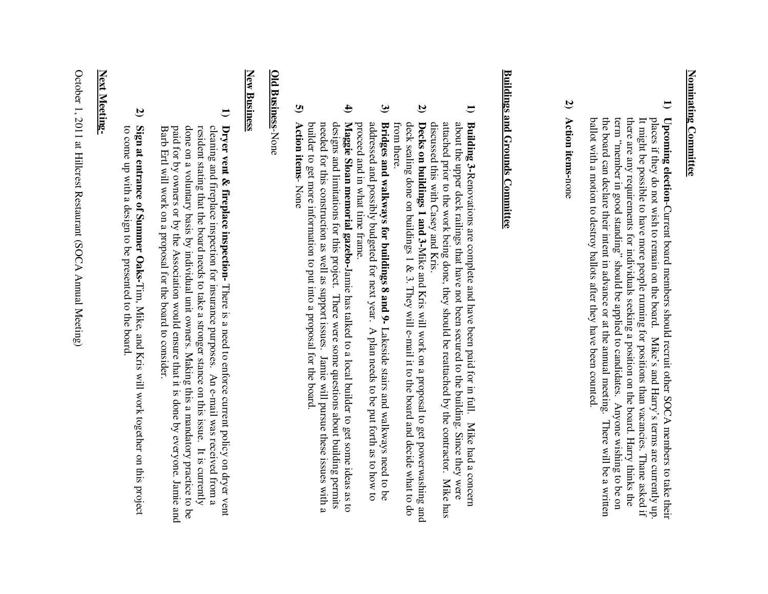# Nominating Committee **Nominating Committee**

- **1)** Upcoming election-Current board members should recruit other SOCA members to take their ballot with a motion to destroy ballots after they have been counted. ballot with a motion to destroy ballots after they have been counted. the board can declare their intent in advance or at the annual meeting. the board can declare their intent in advance or at the annual meeting. There will be a written term "member in good standing" should be applied to candidates. Anyone wishing to be on term "member in good standing" should be applied to candidates. Anyone wishing to be on there are any requirements for individuals seeking a position on the board. Harry thinks the there are any requirements for individuals seeking a position on the board. Harry thinks the It might be possible to have more people running for positions than vacancies. Thane asked if It might be possible to have more people running for positions than vacancies. Thane asked if places if they do not wish to remain on the board. Mike's and Harry's terms are currently up places if they do not wish to remain on the board. Mike's and Harry's terms are currently up. **Upcoming election**-Current board members should recruit other SOCA members to take their There will be a written
- **2) Action items-**Action items-none

# **Buildings and Grounds Committee Buildings and Grounds Committee**

- **1)** Building 3-Renovations are complete and have been paid for in full. Mike had a concern discussed this with Casey and Kris. attached prior to the work being done, they should be reattached by the contractor. Mike has about the upper deck railings that have not been secured to the building. Since they were discussed this with Casey and Kris. attached prior to the work being done, they should be reattached by the contractor. Mike has about the upper deck railings that have not been secured to the building. Since they were **Building 3-**Renovations are complete and have been paid for in full. Mike had a concern
- **2)** from there. deck sealing done on buildings 1 & 3. They will e-mail it to the board and decide what to do Decks on buildings 1 and 3-Mike and Kris will work on a proposal to get powerwashing and from there. deck sealing done on buildings 1 & 3. They will e-mail it to the board and decide what to do **Decks on buildings 1 and 3-**Mike and Kris will work on a proposal to get powerwashing and
- **3)** proceed and in what time frame. addressed and possibly budgeted for next year. A plan needs to be put forth as to how to Bridges and walkways for buildings 8 and 9- Lakeside stairs and walkways need to be proceed and in what time frame. addressed and possibly budgeted for next year. A plan needs to be put forth as to how to **Bridges and walkways for buildings 8 and 9-**Lakeside stairs and walkways need to be
- **4)** builder to get more information to put into a proposal for the board.<br>Action items-None needed for this construction as well as support issues. Jamie will pursue these issues with a designs and limitations for this project. There were some questions about building permits Maggie Sloan memorial gazebo-Jamie has talked to a local builder to get some ideas as to builder to get more information to put into a proposal for the board. needed for this construction as well as support issues. Jamie will pursue these issues with a designs and limitations for this project. There were some questions about building permits **Maggie Sloan memorial gazebo-**Jamie has talked to a local builder to get some ideas as to
- **5) Action items**

## **Old BusinessOld Business-None**

#### **New Business New Business**

- **1)** Dryer vent & fireplace inspection-There is a need to enforce current policy on dryer vent done on a voluntary basis by individual unit owners. Making this a mandatory practice to be resident stating that the board needs to take a stronger stance on this issue. It is currently cleaning and fireplace inspection for insurance purposes. An e-mail was received from a Barb Ertl will work on a proposal for the board to consider Barb Ertl will work on a proposal for the board to consider. paid for by owners or by the Association would ensure that it is done by everyone. Jamie and paid for by owners or by the Association would ensure that it is done by everyone. Jamie and done on a voluntary basis by individual unit owners. Making this a mandatory practice to be resident stating that the board needs to take a stronger stance on this issue. It is currently cleaning and fireplace inspection for insurance purposes. An e-mail was received from a **Dryer vent & fireplace inspection-** There is a need to enforce current policy on dryer vent
- **2)** Sign at entrance of Summer Oaks-Tim, Mike, and Kris will work together on this project to come up with a design to be presented to the board to come up with a design to be presented to the board. **Sign at entrance of Summer Oaks-**Tim, Mike, and Kris will work together on this project

### Next Meeting-**Next Meeting-**

October 1, 2011 at Hillcrest Restaurant (SOCA Annual Meeti October 1, 2011 at Hillcrest Restaurant (SOCA Annual Meeting)